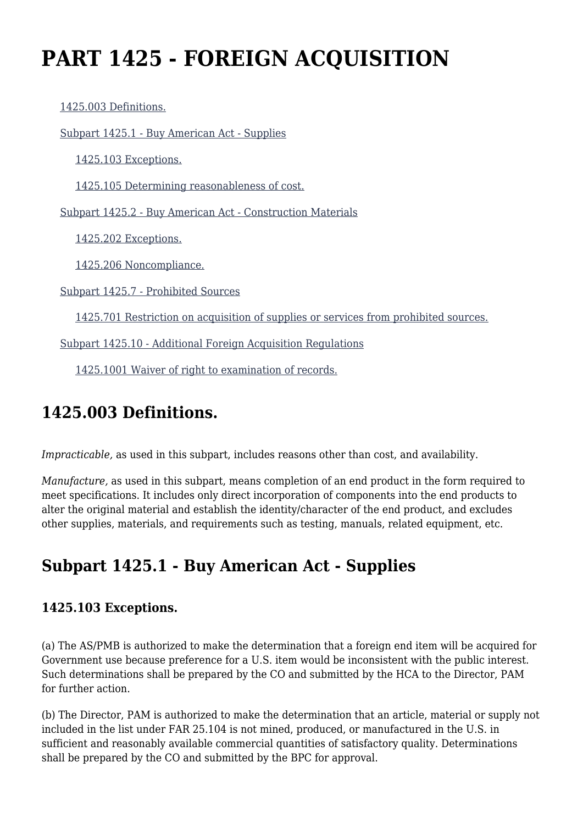# **PART 1425 - FOREIGN ACQUISITION**

[1425.003 Definitions.](https://origin-www.acquisition.gov/%5Brp:link:diar-part-1425%5D#Section_1425_003_T48_5075523011)

[Subpart 1425.1 - Buy American Act - Supplies](https://origin-www.acquisition.gov/%5Brp:link:diar-part-1425%5D#Subpart_1425_1_T48_50755231)

[1425.103 Exceptions.](https://origin-www.acquisition.gov/%5Brp:link:diar-part-1425%5D#Section_1425_103_T48_5075523111)

[1425.105 Determining reasonableness of cost.](https://origin-www.acquisition.gov/%5Brp:link:diar-part-1425%5D#Section_1425_105_T48_5075523112)

[Subpart 1425.2 - Buy American Act - Construction Materials](https://origin-www.acquisition.gov/%5Brp:link:diar-part-1425%5D#Subpart_1425_2_T48_50755232)

[1425.202 Exceptions.](https://origin-www.acquisition.gov/%5Brp:link:diar-part-1425%5D#Section_1425_202_T48_5075523211)

[1425.206 Noncompliance.](https://origin-www.acquisition.gov/%5Brp:link:diar-part-1425%5D#Section_1425_206_T48_5075523212)

[Subpart 1425.7 - Prohibited Sources](https://origin-www.acquisition.gov/%5Brp:link:diar-part-1425%5D#Subpart_1425_7_T48_50755233)

[1425.701 Restriction on acquisition of supplies or services from prohibited sources.](https://origin-www.acquisition.gov/%5Brp:link:diar-part-1425%5D#Section_1425_701_T48_5075523311)

[Subpart 1425.10 - Additional Foreign Acquisition Regulations](https://origin-www.acquisition.gov/%5Brp:link:diar-part-1425%5D#Subpart_1425_10_T48_50755234)

[1425.1001 Waiver of right to examination of records.](https://origin-www.acquisition.gov/%5Brp:link:diar-part-1425%5D#Section_1425_1001_T48_5075523411)

# **1425.003 Definitions.**

*Impracticable,* as used in this subpart, includes reasons other than cost, and availability.

*Manufacture,* as used in this subpart, means completion of an end product in the form required to meet specifications. It includes only direct incorporation of components into the end products to alter the original material and establish the identity/character of the end product, and excludes other supplies, materials, and requirements such as testing, manuals, related equipment, etc.

# **Subpart 1425.1 - Buy American Act - Supplies**

#### **1425.103 Exceptions.**

(a) The AS/PMB is authorized to make the determination that a foreign end item will be acquired for Government use because preference for a U.S. item would be inconsistent with the public interest. Such determinations shall be prepared by the CO and submitted by the HCA to the Director, PAM for further action.

(b) The Director, PAM is authorized to make the determination that an article, material or supply not included in the list under FAR 25.104 is not mined, produced, or manufactured in the U.S. in sufficient and reasonably available commercial quantities of satisfactory quality. Determinations shall be prepared by the CO and submitted by the BPC for approval.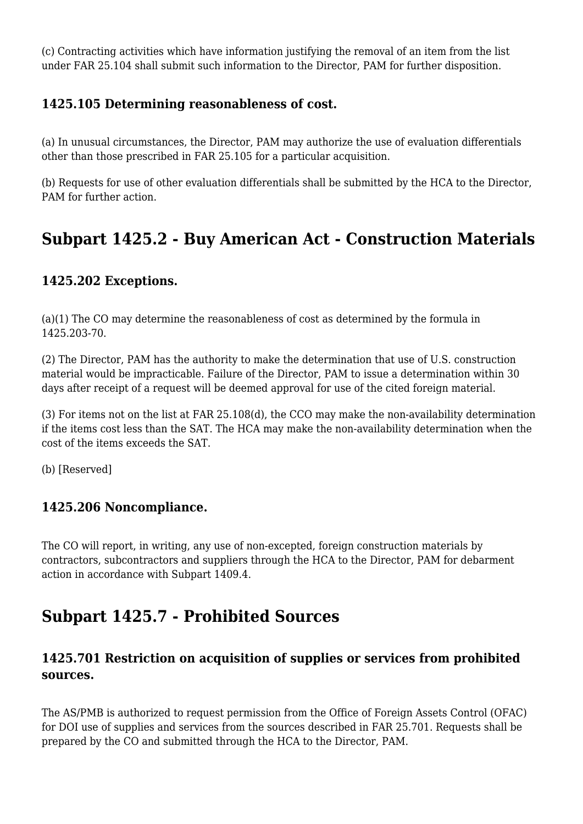(c) Contracting activities which have information justifying the removal of an item from the list under FAR 25.104 shall submit such information to the Director, PAM for further disposition.

#### **1425.105 Determining reasonableness of cost.**

(a) In unusual circumstances, the Director, PAM may authorize the use of evaluation differentials other than those prescribed in FAR 25.105 for a particular acquisition.

(b) Requests for use of other evaluation differentials shall be submitted by the HCA to the Director, PAM for further action.

## **Subpart 1425.2 - Buy American Act - Construction Materials**

#### **1425.202 Exceptions.**

(a)(1) The CO may determine the reasonableness of cost as determined by the formula in 1425.203-70.

(2) The Director, PAM has the authority to make the determination that use of U.S. construction material would be impracticable. Failure of the Director, PAM to issue a determination within 30 days after receipt of a request will be deemed approval for use of the cited foreign material.

(3) For items not on the list at FAR 25.108(d), the CCO may make the non-availability determination if the items cost less than the SAT. The HCA may make the non-availability determination when the cost of the items exceeds the SAT.

(b) [Reserved]

#### **1425.206 Noncompliance.**

The CO will report, in writing, any use of non-excepted, foreign construction materials by contractors, subcontractors and suppliers through the HCA to the Director, PAM for debarment action in accordance with Subpart 1409.4.

### **Subpart 1425.7 - Prohibited Sources**

#### **1425.701 Restriction on acquisition of supplies or services from prohibited sources.**

The AS/PMB is authorized to request permission from the Office of Foreign Assets Control (OFAC) for DOI use of supplies and services from the sources described in FAR 25.701. Requests shall be prepared by the CO and submitted through the HCA to the Director, PAM.